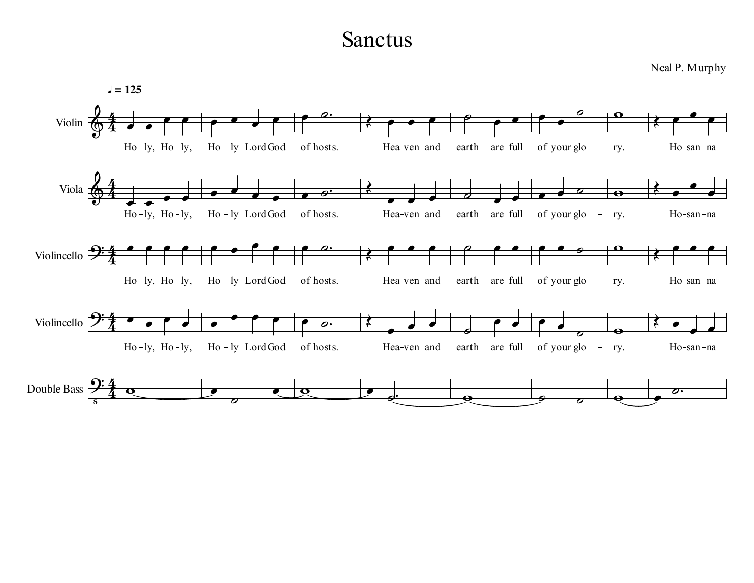## Sanctus

Neal P. Murphy